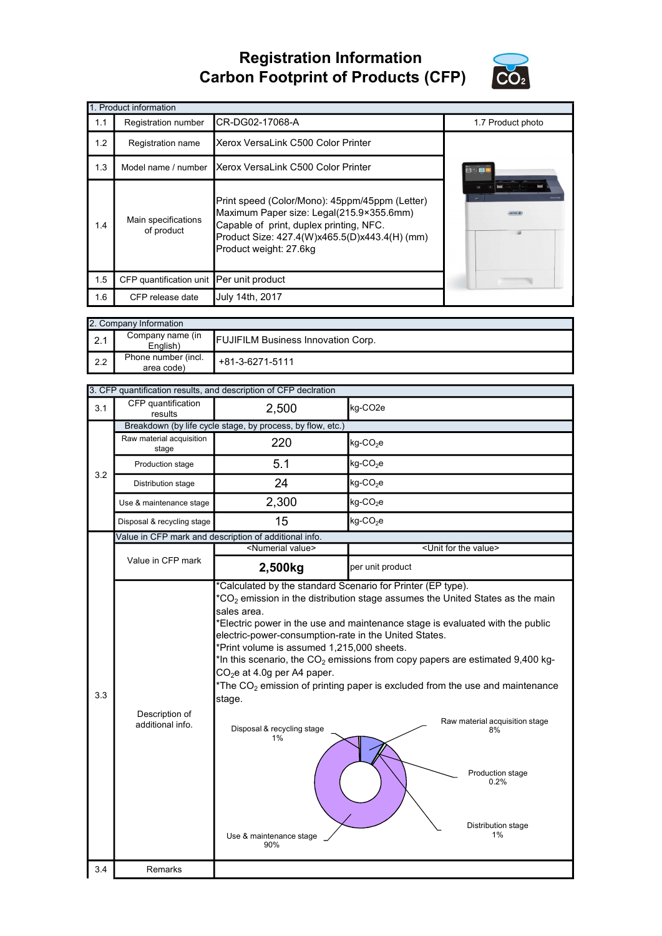## Registration Information Carbon Footprint of Products (CFP)



|     | 1. Product information                   |                                                                                                                                                                                                                  |                   |  |  |  |
|-----|------------------------------------------|------------------------------------------------------------------------------------------------------------------------------------------------------------------------------------------------------------------|-------------------|--|--|--|
| 1.1 | Registration number                      | CR-DG02-17068-A                                                                                                                                                                                                  | 1.7 Product photo |  |  |  |
| 1.2 | Registration name                        | Xerox VersaLink C500 Color Printer                                                                                                                                                                               |                   |  |  |  |
| 1.3 |                                          | Model name / number Xerox VersaLink C500 Color Printer                                                                                                                                                           | 830 <b>3</b>      |  |  |  |
| 1.4 | Main specifications<br>of product        | Print speed (Color/Mono): 45ppm/45ppm (Letter)<br>Maximum Paper size: Legal(215.9×355.6mm)<br>Capable of print, duplex printing, NFC.<br>Product Size: 427.4(W)x465.5(D)x443.4(H) (mm)<br>Product weight: 27.6kg |                   |  |  |  |
| 1.5 | CFP quantification unit Per unit product |                                                                                                                                                                                                                  |                   |  |  |  |
| 1.6 | CFP release date                         | July 14th, 2017                                                                                                                                                                                                  |                   |  |  |  |

|     | 2. Company Information            |                                           |  |  |  |
|-----|-----------------------------------|-------------------------------------------|--|--|--|
| 2.1 | Company name (in<br>Enalish)      | <b>FUJIFILM Business Innovation Corp.</b> |  |  |  |
| 2.2 | Phone number (incl.<br>area code) | +81-3-6271-5111                           |  |  |  |

| 3.1<br>3.2 | CFP quantification<br>results<br>Raw material acquisition<br>stage | 2,500                                                                                                                                                                                                                                 | kg-CO2e                                                                                                                                                                                                                                                                                                                                                                                                                               |  |  |  |  |
|------------|--------------------------------------------------------------------|---------------------------------------------------------------------------------------------------------------------------------------------------------------------------------------------------------------------------------------|---------------------------------------------------------------------------------------------------------------------------------------------------------------------------------------------------------------------------------------------------------------------------------------------------------------------------------------------------------------------------------------------------------------------------------------|--|--|--|--|
|            |                                                                    |                                                                                                                                                                                                                                       |                                                                                                                                                                                                                                                                                                                                                                                                                                       |  |  |  |  |
|            |                                                                    |                                                                                                                                                                                                                                       | Breakdown (by life cycle stage, by process, by flow, etc.)                                                                                                                                                                                                                                                                                                                                                                            |  |  |  |  |
|            |                                                                    | 220                                                                                                                                                                                                                                   | $kg$ -CO <sub>2</sub> e                                                                                                                                                                                                                                                                                                                                                                                                               |  |  |  |  |
|            | Production stage                                                   | 5.1                                                                                                                                                                                                                                   | $kg$ -CO <sub>2</sub> e                                                                                                                                                                                                                                                                                                                                                                                                               |  |  |  |  |
|            | Distribution stage                                                 | 24                                                                                                                                                                                                                                    | $kg$ -CO <sub>2</sub> e                                                                                                                                                                                                                                                                                                                                                                                                               |  |  |  |  |
|            | Use & maintenance stage                                            | 2,300                                                                                                                                                                                                                                 | kg-CO <sub>2</sub> e                                                                                                                                                                                                                                                                                                                                                                                                                  |  |  |  |  |
|            | Disposal & recycling stage                                         | 15                                                                                                                                                                                                                                    | $kg$ -CO <sub>2</sub> e                                                                                                                                                                                                                                                                                                                                                                                                               |  |  |  |  |
|            |                                                                    | Value in CFP mark and description of additional info.                                                                                                                                                                                 |                                                                                                                                                                                                                                                                                                                                                                                                                                       |  |  |  |  |
|            |                                                                    | <numerial value=""></numerial>                                                                                                                                                                                                        | <unit for="" the="" value=""></unit>                                                                                                                                                                                                                                                                                                                                                                                                  |  |  |  |  |
|            | Value in CFP mark                                                  | 2,500kg                                                                                                                                                                                                                               | per unit product                                                                                                                                                                                                                                                                                                                                                                                                                      |  |  |  |  |
| 3.3        | Description of<br>additional info.                                 | sales area.<br>electric-power-consumption-rate in the United States.<br>*Print volume is assumed 1,215,000 sheets.<br>$CO2e$ at 4.0g per A4 paper.<br>stage.<br>Disposal & recycling stage<br>$1\%$<br>Use & maintenance stage<br>90% | $*CO2$ emission in the distribution stage assumes the United States as the main<br>*Electric power in the use and maintenance stage is evaluated with the public<br>*In this scenario, the $CO2$ emissions from copy papers are estimated 9,400 kg-<br>*The $CO2$ emission of printing paper is excluded from the use and maintenance<br>Raw material acquisition stage<br>8%<br>Production stage<br>0.2%<br>Distribution stage<br>1% |  |  |  |  |
| 3.4        | Remarks                                                            |                                                                                                                                                                                                                                       |                                                                                                                                                                                                                                                                                                                                                                                                                                       |  |  |  |  |